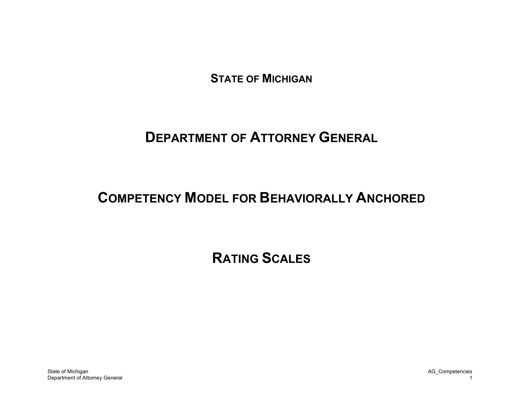**STATE OF MICHIGAN** 

# **DEPARTMENT OF ATTORNEY GENERAL**

# **COMPETENCY MODEL FOR BEHAVIORALLY ANCHORED**

**RATING SCALES**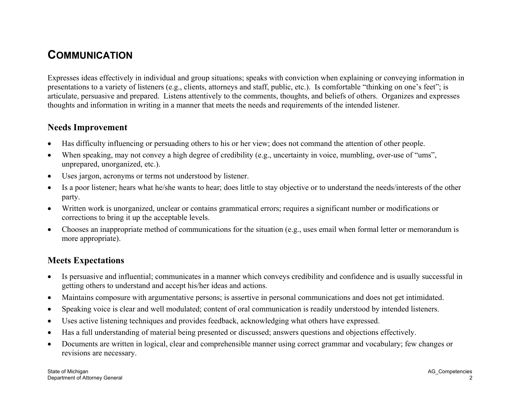## **COMMUNICATION**

Expresses ideas effectively in individual and group situations; speaks with conviction when explaining or conveying information in presentations to a variety of listeners (e.g., clients, attorneys and staff, public, etc.). Is comfortable "thinking on one's feet"; is articulate, persuasive and prepared. Listens attentively to the comments, thoughts, and beliefs of others. Organizes and expresses thoughts and information in writing in a manner that meets the needs and requirements of the intended listener.

#### **Needs Improvement**

- $\bullet$ Has difficulty influencing or persuading others to his or her view; does not command the attention of other people.
- •When speaking, may not convey a high degree of credibility (e.g., uncertainty in voice, mumbling, over-use of "ums", unprepared, unorganized, etc.).
- •Uses jargon, acronyms or terms not understood by listener.
- $\bullet$  Is a poor listener; hears what he/she wants to hear; does little to stay objective or to understand the needs/interests of the other party.
- $\bullet$  Written work is unorganized, unclear or contains grammatical errors; requires a significant number or modifications or corrections to bring it up the acceptable levels.
- $\bullet$  Chooses an inappropriate method of communications for the situation (e.g., uses email when formal letter or memorandum is more appropriate).

- • Is persuasive and influential; communicates in a manner which conveys credibility and confidence and is usually successful in getting others to understand and accept his/her ideas and actions.
- •Maintains composure with argumentative persons; is assertive in personal communications and does not get intimidated.
- •Speaking voice is clear and well modulated; content of oral communication is readily understood by intended listeners.
- •Uses active listening techniques and provides feedback, acknowledging what others have expressed.
- $\bullet$ Has a full understanding of material being presented or discussed; answers questions and objections effectively.
- • Documents are written in logical, clear and comprehensible manner using correct grammar and vocabulary; few changes or revisions are necessary.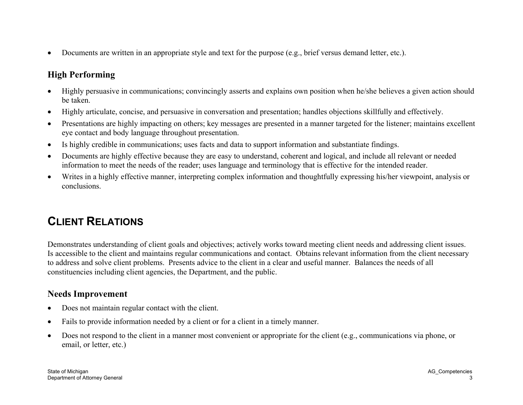$\bullet$ Documents are written in an appropriate style and text for the purpose (e.g., brief versus demand letter, etc.).

## **High Performing**

- $\bullet$  Highly persuasive in communications; convincingly asserts and explains own position when he/she believes a given action should be taken.
- •Highly articulate, concise, and persuasive in conversation and presentation; handles objections skillfully and effectively.
- • Presentations are highly impacting on others; key messages are presented in a manner targeted for the listener; maintains excellent eye contact and body language throughout presentation.
- •Is highly credible in communications; uses facts and data to support information and substantiate findings.
- • Documents are highly effective because they are easy to understand, coherent and logical, and include all relevant or needed information to meet the needs of the reader; uses language and terminology that is effective for the intended reader.
- $\bullet$  Writes in a highly effective manner, interpreting complex information and thoughtfully expressing his/her viewpoint, analysis or conclusions.

# **CLIENT RELATIONS**

Demonstrates understanding of client goals and objectives; actively works toward meeting client needs and addressing client issues. Is accessible to the client and maintains regular communications and contact. Obtains relevant information from the client necessary to address and solve client problems. Presents advice to the client in a clear and useful manner. Balances the needs of all constituencies including client agencies, the Department, and the public.

#### **Needs Improvement**

- $\bullet$ Does not maintain regular contact with the client.
- •Fails to provide information needed by a client or for a client in a timely manner.
- • Does not respond to the client in a manner most convenient or appropriate for the client (e.g., communications via phone, or email, or letter, etc.)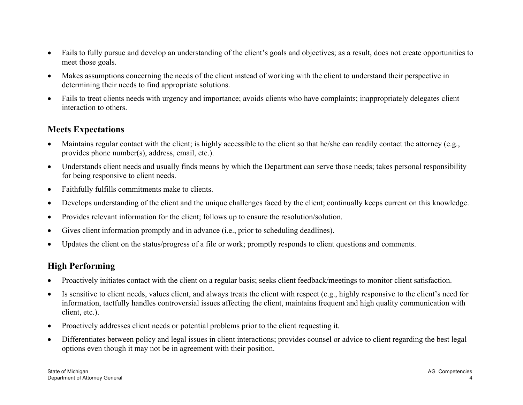- $\bullet$  Fails to fully pursue and develop an understanding of the client's goals and objectives; as a result, does not create opportunities to meet those goals.
- • Makes assumptions concerning the needs of the client instead of working with the client to understand their perspective in determining their needs to find appropriate solutions.
- • Fails to treat clients needs with urgency and importance; avoids clients who have complaints; inappropriately delegates client interaction to others.

#### **Meets Expectations**

- $\bullet$  Maintains regular contact with the client; is highly accessible to the client so that he/she can readily contact the attorney (e.g., provides phone number(s), address, email, etc.).
- • Understands client needs and usually finds means by which the Department can serve those needs; takes personal responsibility for being responsive to client needs.
- $\bullet$ Faithfully fulfills commitments make to clients.
- $\bullet$ Develops understanding of the client and the unique challenges faced by the client; continually keeps current on this knowledge.
- •Provides relevant information for the client; follows up to ensure the resolution/solution.
- •Gives client information promptly and in advance (i.e., prior to scheduling deadlines).
- •Updates the client on the status/progress of a file or work; promptly responds to client questions and comments.

- •Proactively initiates contact with the client on a regular basis; seeks client feedback/meetings to monitor client satisfaction.
- • Is sensitive to client needs, values client, and always treats the client with respect (e.g., highly responsive to the client's need for information, tactfully handles controversial issues affecting the client, maintains frequent and high quality communication with client, etc.).
- •Proactively addresses client needs or potential problems prior to the client requesting it.
- $\bullet$  Differentiates between policy and legal issues in client interactions; provides counsel or advice to client regarding the best legal options even though it may not be in agreement with their position.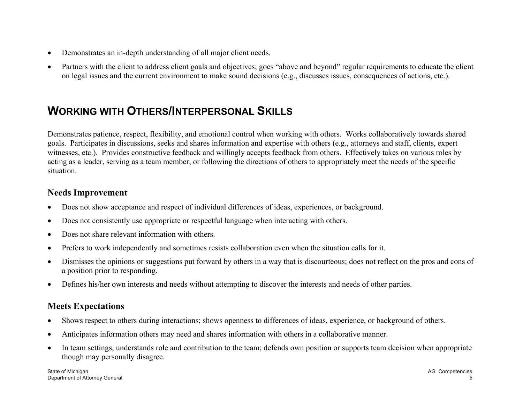- $\bullet$ Demonstrates an in-depth understanding of all major client needs.
- • Partners with the client to address client goals and objectives; goes "above and beyond" regular requirements to educate the client on legal issues and the current environment to make sound decisions (e.g., discusses issues, consequences of actions, etc.).

## **WORKING WITH OTHERS/INTERPERSONAL SKILLS**

Demonstrates patience, respect, flexibility, and emotional control when working with others. Works collaboratively towards shared goals. Participates in discussions, seeks and shares information and expertise with others (e.g., attorneys and staff, clients, expert witnesses, etc.). Provides constructive feedback and willingly accepts feedback from others. Effectively takes on various roles by acting as a leader, serving as a team member, or following the directions of others to appropriately meet the needs of the specific situation.

#### **Needs Improvement**

- •Does not show acceptance and respect of individual differences of ideas, experiences, or background.
- •Does not consistently use appropriate or respectful language when interacting with others.
- •Does not share relevant information with others.
- •Prefers to work independently and sometimes resists collaboration even when the situation calls for it.
- • Dismisses the opinions or suggestions put forward by others in a way that is discourteous; does not reflect on the pros and cons of a position prior to responding.
- $\bullet$ Defines his/her own interests and needs without attempting to discover the interests and needs of other parties.

- •Shows respect to others during interactions; shows openness to differences of ideas, experience, or background of others.
- •Anticipates information others may need and shares information with others in a collaborative manner.
- • In team settings, understands role and contribution to the team; defends own position or supports team decision when appropriate though may personally disagree.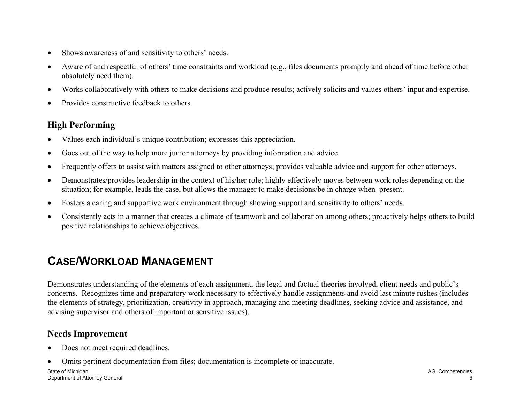- $\bullet$ Shows awareness of and sensitivity to others' needs.
- • Aware of and respectful of others' time constraints and workload (e.g., files documents promptly and ahead of time before other absolutely need them).
- •Works collaboratively with others to make decisions and produce results; actively solicits and values others' input and expertise.
- •Provides constructive feedback to others.

- $\bullet$ Values each individual's unique contribution; expresses this appreciation.
- •Goes out of the way to help more junior attorneys by providing information and advice.
- •Frequently offers to assist with matters assigned to other attorneys; provides valuable advice and support for other attorneys.
- • Demonstrates/provides leadership in the context of his/her role; highly effectively moves between work roles depending on the situation; for example, leads the case, but allows the manager to make decisions/be in charge when present.
- $\bullet$ Fosters a caring and supportive work environment through showing support and sensitivity to others' needs.
- • Consistently acts in a manner that creates a climate of teamwork and collaboration among others; proactively helps others to build positive relationships to achieve objectives.

# **CASE/WORKLOAD MANAGEMENT**

Demonstrates understanding of the elements of each assignment, the legal and factual theories involved, client needs and public's concerns. Recognizes time and preparatory work necessary to effectively handle assignments and avoid last minute rushes (includes the elements of strategy, prioritization, creativity in approach, managing and meeting deadlines, seeking advice and assistance, and advising supervisor and others of important or sensitive issues).

### **Needs Improvement**

- $\bullet$ Does not meet required deadlines.
- •Omits pertinent documentation from files; documentation is incomplete or inaccurate.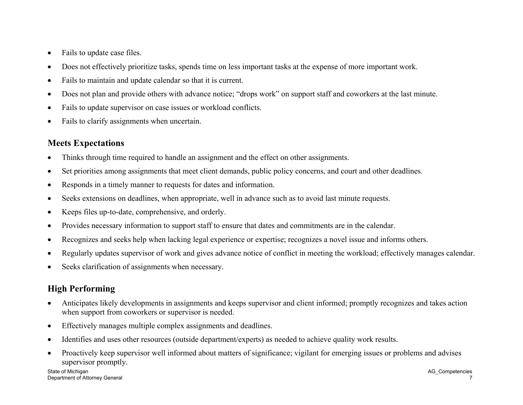- $\bullet$ Fails to update case files.
- •Does not effectively prioritize tasks, spends time on less important tasks at the expense of more important work.
- •Fails to maintain and update calendar so that it is current.
- •Does not plan and provide others with advance notice; "drops work" on support staff and coworkers at the last minute.
- •Fails to update supervisor on case issues or workload conflicts.
- •Fails to clarify assignments when uncertain.

#### **Meets Expectations**

- •Thinks through time required to handle an assignment and the effect on other assignments.
- •Set priorities among assignments that meet client demands, public policy concerns, and court and other deadlines.
- •Responds in a timely manner to requests for dates and information.
- •Seeks extensions on deadlines, when appropriate, well in advance such as to avoid last minute requests.
- •Keeps files up-to-date, comprehensive, and orderly.
- •Provides necessary information to support staff to ensure that dates and commitments are in the calendar.
- •Recognizes and seeks help when lacking legal experience or expertise; recognizes a novel issue and informs others.
- •Regularly updates supervisor of work and gives advance notice of conflict in meeting the workload; effectively manages calendar.
- •Seeks clarification of assignments when necessary.

- • Anticipates likely developments in assignments and keeps supervisor and client informed; promptly recognizes and takes action when support from coworkers or supervisor is needed.
- •Effectively manages multiple complex assignments and deadlines.
- •Identifies and uses other resources (outside department/experts) as needed to achieve quality work results.
- • Proactively keep supervisor well informed about matters of significance; vigilant for emerging issues or problems and advises supervisor promptly.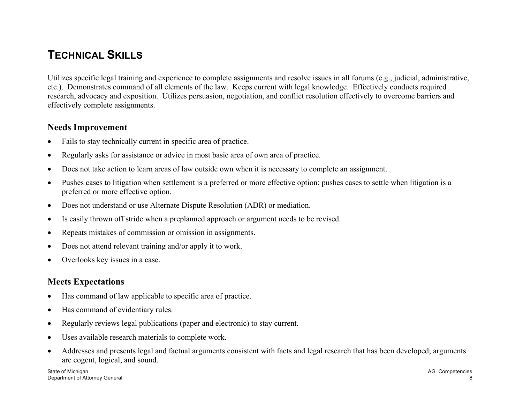## **TECHNICAL SKILLS**

Utilizes specific legal training and experience to complete assignments and resolve issues in all forums (e.g., judicial, administrative, etc.). Demonstrates command of all elements of the law. Keeps current with legal knowledge. Effectively conducts required research, advocacy and exposition. Utilizes persuasion, negotiation, and conflict resolution effectively to overcome barriers and effectively complete assignments.

#### **Needs Improvement**

- •Fails to stay technically current in specific area of practice.
- •Regularly asks for assistance or advice in most basic area of own area of practice.
- •Does not take action to learn areas of law outside own when it is necessary to complete an assignment.
- • Pushes cases to litigation when settlement is a preferred or more effective option; pushes cases to settle when litigation is a preferred or more effective option.
- •Does not understand or use Alternate Dispute Resolution (ADR) or mediation.
- •Is easily thrown off stride when a preplanned approach or argument needs to be revised.
- •Repeats mistakes of commission or omission in assignments.
- •Does not attend relevant training and/or apply it to work.
- •Overlooks key issues in a case.

- •Has command of law applicable to specific area of practice.
- •Has command of evidentiary rules.
- •Regularly reviews legal publications (paper and electronic) to stay current.
- •Uses available research materials to complete work.
- • Addresses and presents legal and factual arguments consistent with facts and legal research that has been developed; arguments are cogent, logical, and sound.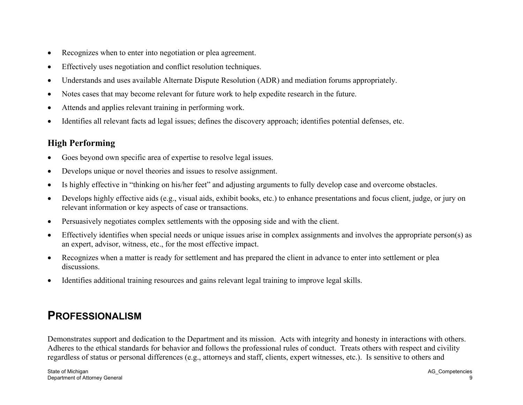- $\bullet$ Recognizes when to enter into negotiation or plea agreement.
- •Effectively uses negotiation and conflict resolution techniques.
- •Understands and uses available Alternate Dispute Resolution (ADR) and mediation forums appropriately.
- •Notes cases that may become relevant for future work to help expedite research in the future.
- •Attends and applies relevant training in performing work.
- •Identifies all relevant facts ad legal issues; defines the discovery approach; identifies potential defenses, etc.

- •Goes beyond own specific area of expertise to resolve legal issues.
- •Develops unique or novel theories and issues to resolve assignment.
- •Is highly effective in "thinking on his/her feet" and adjusting arguments to fully develop case and overcome obstacles.
- • Develops highly effective aids (e.g., visual aids, exhibit books, etc.) to enhance presentations and focus client, judge, or jury on relevant information or key aspects of case or transactions.
- •Persuasively negotiates complex settlements with the opposing side and with the client.
- $\bullet$  Effectively identifies when special needs or unique issues arise in complex assignments and involves the appropriate person(s) as an expert, advisor, witness, etc., for the most effective impact.
- $\bullet$  Recognizes when a matter is ready for settlement and has prepared the client in advance to enter into settlement or plea discussions.
- $\bullet$ Identifies additional training resources and gains relevant legal training to improve legal skills.

## **PROFESSIONALISM**

Demonstrates support and dedication to the Department and its mission. Acts with integrity and honesty in interactions with others. Adheres to the ethical standards for behavior and follows the professional rules of conduct. Treats others with respect and civility regardless of status or personal differences (e.g., attorneys and staff, clients, expert witnesses, etc.). Is sensitive to others and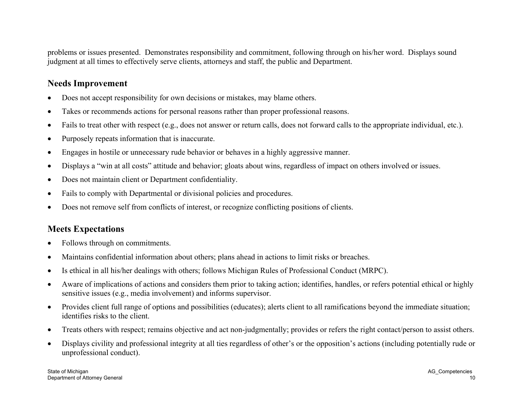problems or issues presented. Demonstrates responsibility and commitment, following through on his/her word. Displays sound judgment at all times to effectively serve clients, attorneys and staff, the public and Department.

#### **Needs Improvement**

- •Does not accept responsibility for own decisions or mistakes, may blame others.
- •Takes or recommends actions for personal reasons rather than proper professional reasons.
- •Fails to treat other with respect (e.g., does not answer or return calls, does not forward calls to the appropriate individual, etc.).
- •Purposely repeats information that is inaccurate.
- •Engages in hostile or unnecessary rude behavior or behaves in a highly aggressive manner.
- •Displays a "win at all costs" attitude and behavior; gloats about wins, regardless of impact on others involved or issues.
- •Does not maintain client or Department confidentiality.
- •Fails to comply with Departmental or divisional policies and procedures.
- •Does not remove self from conflicts of interest, or recognize conflicting positions of clients.

- •Follows through on commitments.
- •Maintains confidential information about others; plans ahead in actions to limit risks or breaches.
- •Is ethical in all his/her dealings with others; follows Michigan Rules of Professional Conduct (MRPC).
- • Aware of implications of actions and considers them prior to taking action; identifies, handles, or refers potential ethical or highly sensitive issues (e.g., media involvement) and informs supervisor.
- $\bullet$  Provides client full range of options and possibilities (educates); alerts client to all ramifications beyond the immediate situation; identifies risks to the client.
- •Treats others with respect; remains objective and act non-judgmentally; provides or refers the right contact/person to assist others.
- $\bullet$  Displays civility and professional integrity at all ties regardless of other's or the opposition's actions (including potentially rude or unprofessional conduct).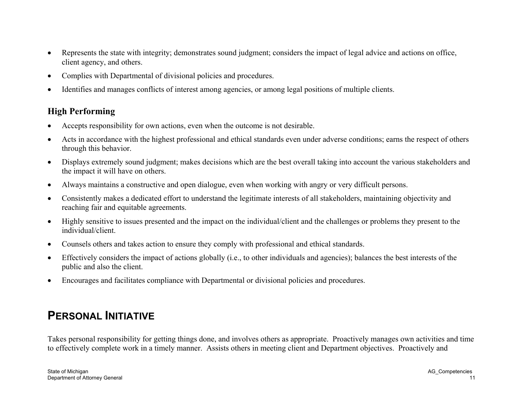- • Represents the state with integrity; demonstrates sound judgment; considers the impact of legal advice and actions on office, client agency, and others.
- $\bullet$ Complies with Departmental of divisional policies and procedures.
- •Identifies and manages conflicts of interest among agencies, or among legal positions of multiple clients.

- •Accepts responsibility for own actions, even when the outcome is not desirable.
- • Acts in accordance with the highest professional and ethical standards even under adverse conditions; earns the respect of others through this behavior.
- • Displays extremely sound judgment; makes decisions which are the best overall taking into account the various stakeholders and the impact it will have on others.
- •Always maintains a constructive and open dialogue, even when working with angry or very difficult persons.
- • Consistently makes a dedicated effort to understand the legitimate interests of all stakeholders, maintaining objectivity and reaching fair and equitable agreements.
- • Highly sensitive to issues presented and the impact on the individual/client and the challenges or problems they present to the individual/client.
- •Counsels others and takes action to ensure they comply with professional and ethical standards.
- $\bullet$  Effectively considers the impact of actions globally (i.e., to other individuals and agencies); balances the best interests of the public and also the client.
- •Encourages and facilitates compliance with Departmental or divisional policies and procedures.

# **PERSONAL INITIATIVE**

Takes personal responsibility for getting things done, and involves others as appropriate. Proactively manages own activities and time to effectively complete work in a timely manner. Assists others in meeting client and Department objectives. Proactively and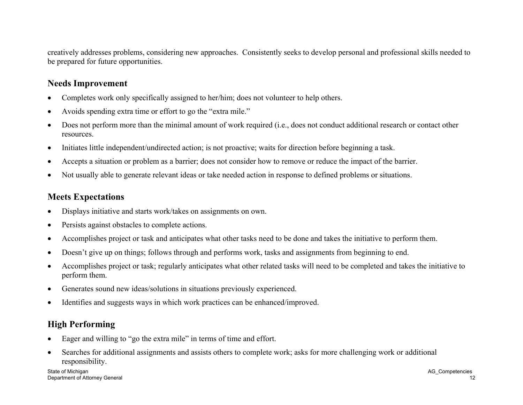creatively addresses problems, considering new approaches. Consistently seeks to develop personal and professional skills needed to be prepared for future opportunities.

#### **Needs Improvement**

- •Completes work only specifically assigned to her/him; does not volunteer to help others.
- •Avoids spending extra time or effort to go the "extra mile."
- • Does not perform more than the minimal amount of work required (i.e., does not conduct additional research or contact other resources.
- •Initiates little independent/undirected action; is not proactive; waits for direction before beginning a task.
- •Accepts a situation or problem as a barrier; does not consider how to remove or reduce the impact of the barrier.
- •Not usually able to generate relevant ideas or take needed action in response to defined problems or situations.

#### **Meets Expectations**

- •Displays initiative and starts work/takes on assignments on own.
- •Persists against obstacles to complete actions.
- •Accomplishes project or task and anticipates what other tasks need to be done and takes the initiative to perform them.
- •Doesn't give up on things; follows through and performs work, tasks and assignments from beginning to end.
- • Accomplishes project or task; regularly anticipates what other related tasks will need to be completed and takes the initiative to perform them.
- •Generates sound new ideas/solutions in situations previously experienced.
- •Identifies and suggests ways in which work practices can be enhanced/improved.

## **High Performing**

- $\bullet$ Eager and willing to "go the extra mile" in terms of time and effort.
- • Searches for additional assignments and assists others to complete work; asks for more challenging work or additional responsibility.

State of Michigan AG\_Competencies Department of Attorney General 12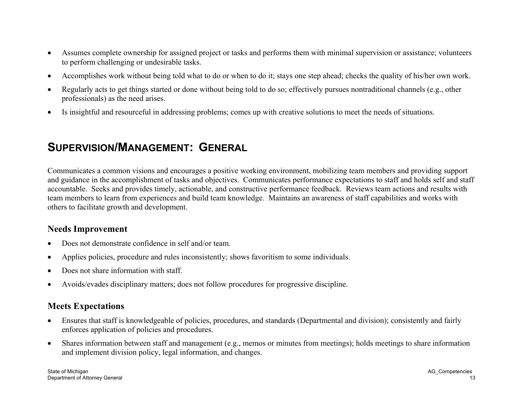- $\bullet$  Assumes complete ownership for assigned project or tasks and performs them with minimal supervision or assistance; volunteers to perform challenging or undesirable tasks.
- •Accomplishes work without being told what to do or when to do it; stays one step ahead; checks the quality of his/her own work.
- • Regularly acts to get things started or done without being told to do so; effectively pursues nontraditional channels (e.g., other professionals) as the need arises.
- •Is insightful and resourceful in addressing problems; comes up with creative solutions to meet the needs of situations.

## **SUPERVISION/MANAGEMENT: GENERAL**

Communicates a common visions and encourages a positive working environment, mobilizing team members and providing support and guidance in the accomplishment of tasks and objectives. Communicates performance expectations to staff and holds self and staff accountable. Seeks and provides timely, actionable, and constructive performance feedback. Reviews team actions and results with team members to learn from experiences and build team knowledge. Maintains an awareness of staff capabilities and works with others to facilitate growth and development.

#### **Needs Improvement**

- •Does not demonstrate confidence in self and/or team.
- •Applies policies, procedure and rules inconsistently; shows favoritism to some individuals.
- •Does not share information with staff.
- •Avoids/evades disciplinary matters; does not follow procedures for progressive discipline.

- $\bullet$  Ensures that staff is knowledgeable of policies, procedures, and standards (Departmental and division); consistently and fairly enforces application of policies and procedures.
- $\bullet$  Shares information between staff and management (e.g., memos or minutes from meetings); holds meetings to share information and implement division policy, legal information, and changes.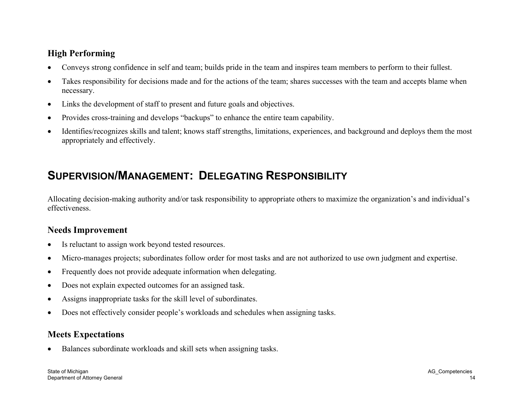- •Conveys strong confidence in self and team; builds pride in the team and inspires team members to perform to their fullest.
- • Takes responsibility for decisions made and for the actions of the team; shares successes with the team and accepts blame when necessary.
- •Links the development of staff to present and future goals and objectives.
- •Provides cross-training and develops "backups" to enhance the entire team capability.
- • Identifies/recognizes skills and talent; knows staff strengths, limitations, experiences, and background and deploys them the most appropriately and effectively.

## **SUPERVISION/MANAGEMENT: DELEGATING RESPONSIBILITY**

Allocating decision-making authority and/or task responsibility to appropriate others to maximize the organization's and individual's effectiveness.

### **Needs Improvement**

- •Is reluctant to assign work beyond tested resources.
- •Micro-manages projects; subordinates follow order for most tasks and are not authorized to use own judgment and expertise.
- •Frequently does not provide adequate information when delegating.
- •Does not explain expected outcomes for an assigned task.
- •Assigns inappropriate tasks for the skill level of subordinates.
- •Does not effectively consider people's workloads and schedules when assigning tasks.

### **Meets Expectations**

•Balances subordinate workloads and skill sets when assigning tasks.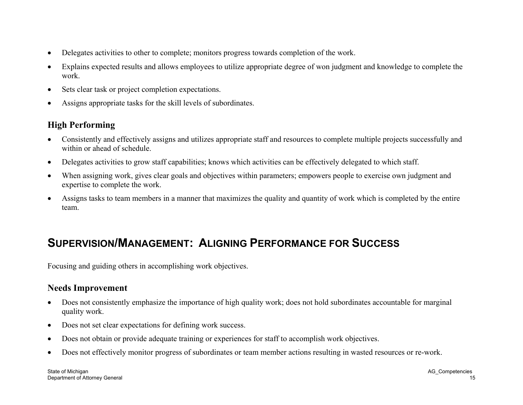- •Delegates activities to other to complete; monitors progress towards completion of the work.
- • Explains expected results and allows employees to utilize appropriate degree of won judgment and knowledge to complete the work.
- •Sets clear task or project completion expectations.
- •Assigns appropriate tasks for the skill levels of subordinates.

- $\bullet$  Consistently and effectively assigns and utilizes appropriate staff and resources to complete multiple projects successfully and within or ahead of schedule.
- •Delegates activities to grow staff capabilities; knows which activities can be effectively delegated to which staff.
- •When assigning work, gives clear goals and objectives within parameters; empowers people to exercise own judgment and expertise to complete the work.
- • Assigns tasks to team members in a manner that maximizes the quality and quantity of work which is completed by the entire team.

## **SUPERVISION/MANAGEMENT: ALIGNING PERFORMANCE FOR SUCCESS**

Focusing and guiding others in accomplishing work objectives.

### **Needs Improvement**

- $\bullet$  Does not consistently emphasize the importance of high quality work; does not hold subordinates accountable for marginal quality work.
- •Does not set clear expectations for defining work success.
- •Does not obtain or provide adequate training or experiences for staff to accomplish work objectives.
- •Does not effectively monitor progress of subordinates or team member actions resulting in wasted resources or re-work.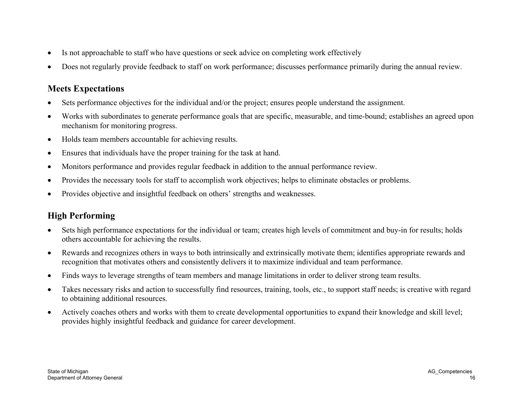- •Is not approachable to staff who have questions or seek advice on completing work effectively
- •Does not regularly provide feedback to staff on work performance; discusses performance primarily during the annual review.

#### **Meets Expectations**

- •Sets performance objectives for the individual and/or the project; ensures people understand the assignment.
- • Works with subordinates to generate performance goals that are specific, measurable, and time-bound; establishes an agreed upon mechanism for monitoring progress.
- $\bullet$ Holds team members accountable for achieving results.
- •Ensures that individuals have the proper training for the task at hand.
- •Monitors performance and provides regular feedback in addition to the annual performance review.
- •Provides the necessary tools for staff to accomplish work objectives; helps to eliminate obstacles or problems.
- $\bullet$ Provides objective and insightful feedback on others' strengths and weaknesses.

- $\bullet$  Sets high performance expectations for the individual or team; creates high levels of commitment and buy-in for results; holds others accountable for achieving the results.
- $\bullet$  Rewards and recognizes others in ways to both intrinsically and extrinsically motivate them; identifies appropriate rewards and recognition that motivates others and consistently delivers it to maximize individual and team performance.
- •Finds ways to leverage strengths of team members and manage limitations in order to deliver strong team results.
- • Takes necessary risks and action to successfully find resources, training, tools, etc., to support staff needs; is creative with regard to obtaining additional resources.
- $\bullet$  Actively coaches others and works with them to create developmental opportunities to expand their knowledge and skill level; provides highly insightful feedback and guidance for career development.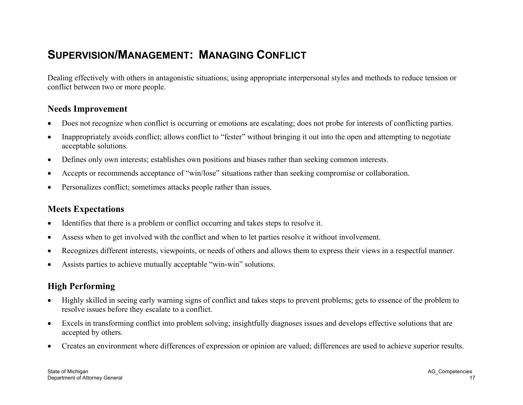## **SUPERVISION/MANAGEMENT: MANAGING CONFLICT**

Dealing effectively with others in antagonistic situations; using appropriate interpersonal styles and methods to reduce tension or conflict between two or more people.

#### **Needs Improvement**

- •Does not recognize when conflict is occurring or emotions are escalating; does not probe for interests of conflicting parties.
- • Inappropriately avoids conflict; allows conflict to "fester" without bringing it out into the open and attempting to negotiate acceptable solutions.
- •Defines only own interests; establishes own positions and biases rather than seeking common interests.
- •Accepts or recommends acceptance of "win/lose" situations rather than seeking compromise or collaboration.
- •Personalizes conflict; sometimes attacks people rather than issues.

#### **Meets Expectations**

- •Identifies that there is a problem or conflict occurring and takes steps to resolve it.
- •Assess when to get involved with the conflict and when to let parties resolve it without involvement.
- •Recognizes different interests, viewpoints, or needs of others and allows them to express their views in a respectful manner.
- •Assists parties to achieve mutually acceptable "win-win" solutions.

- $\bullet$  Highly skilled in seeing early warning signs of conflict and takes steps to prevent problems; gets to essence of the problem to resolve issues before they escalate to a conflict.
- $\bullet$  Excels in transforming conflict into problem solving; insightfully diagnoses issues and develops effective solutions that are accepted by others.
- •Creates an environment where differences of expression or opinion are valued; differences are used to achieve superior results.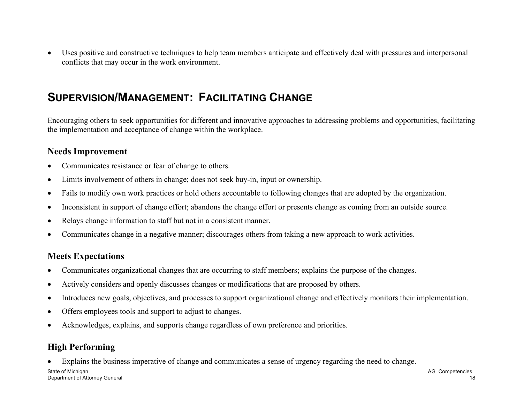• Uses positive and constructive techniques to help team members anticipate and effectively deal with pressures and interpersonal conflicts that may occur in the work environment.

## **SUPERVISION/MANAGEMENT: FACILITATING CHANGE**

Encouraging others to seek opportunities for different and innovative approaches to addressing problems and opportunities, facilitating the implementation and acceptance of change within the workplace.

#### **Needs Improvement**

- $\bullet$ Communicates resistance or fear of change to others.
- •Limits involvement of others in change; does not seek buy-in, input or ownership.
- •Fails to modify own work practices or hold others accountable to following changes that are adopted by the organization.
- •Inconsistent in support of change effort; abandons the change effort or presents change as coming from an outside source.
- •Relays change information to staff but not in a consistent manner.
- •Communicates change in a negative manner; discourages others from taking a new approach to work activities.

#### **Meets Expectations**

- •Communicates organizational changes that are occurring to staff members; explains the purpose of the changes.
- •Actively considers and openly discusses changes or modifications that are proposed by others.
- •Introduces new goals, objectives, and processes to support organizational change and effectively monitors their implementation.
- •Offers employees tools and support to adjust to changes.
- •Acknowledges, explains, and supports change regardless of own preference and priorities.

## **High Performing**

•Explains the business imperative of change and communicates a sense of urgency regarding the need to change.

State of Michigan AG\_Competencies Department of Attorney General 18 and 2008 the control of Attorney General 18 and 2008 the control of Attorney General 18 and 2008 the control of Attorney General 18 and 2008 the control of Attorney General 18 and 2008 the